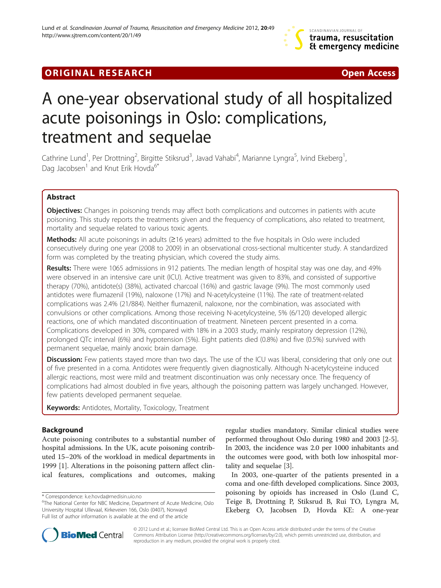# **ORIGINAL RESEARCH CONSUMING A RESEARCH CONSUMING A RESEARCH**

# A one-year observational study of all hospitalized acute poisonings in Oslo: complications, treatment and sequelae

Cathrine Lund<sup>1</sup>, Per Drottning<sup>2</sup>, Birgitte Stiksrud<sup>3</sup>, Javad Vahabi<sup>4</sup>, Marianne Lyngra<sup>5</sup>, Ivind Ekeberg<sup>1</sup> , Dag Jacobsen $<sup>1</sup>$  and Knut Erik Hovda<sup>6\*</sup></sup>

# Abstract

**Objectives:** Changes in poisoning trends may affect both complications and outcomes in patients with acute poisoning. This study reports the treatments given and the frequency of complications, also related to treatment, mortality and sequelae related to various toxic agents.

Methods: All acute poisonings in adults (≥16 years) admitted to the five hospitals in Oslo were included consecutively during one year (2008 to 2009) in an observational cross-sectional multicenter study. A standardized form was completed by the treating physician, which covered the study aims.

Results: There were 1065 admissions in 912 patients. The median length of hospital stay was one day, and 49% were observed in an intensive care unit (ICU). Active treatment was given to 83%, and consisted of supportive therapy (70%), antidote(s) (38%), activated charcoal (16%) and gastric lavage (9%). The most commonly used antidotes were flumazenil (19%), naloxone (17%) and N-acetylcysteine (11%). The rate of treatment-related complications was 2.4% (21/884). Neither flumazenil, naloxone, nor the combination, was associated with convulsions or other complications. Among those receiving N-acetylcysteine, 5% (6/120) developed allergic reactions, one of which mandated discontinuation of treatment. Nineteen percent presented in a coma. Complications developed in 30%, compared with 18% in a 2003 study, mainly respiratory depression (12%), prolonged QTc interval (6%) and hypotension (5%). Eight patients died (0.8%) and five (0.5%) survived with permanent sequelae, mainly anoxic brain damage.

Discussion: Few patients stayed more than two days. The use of the ICU was liberal, considering that only one out of five presented in a coma. Antidotes were frequently given diagnostically. Although N-acetylcysteine induced allergic reactions, most were mild and treatment discontinuation was only necessary once. The frequency of complications had almost doubled in five years, although the poisoning pattern was largely unchanged. However, few patients developed permanent sequelae.

Keywords: Antidotes, Mortality, Toxicology, Treatment

# Background

Acute poisoning contributes to a substantial number of hospital admissions. In the UK, acute poisoning contributed 15–20% of the workload in medical departments in 1999 [[1](#page-9-0)]. Alterations in the poisoning pattern affect clinical features, complications and outcomes, making

regular studies mandatory. Similar clinical studies were performed throughout Oslo during 1980 and 2003 [[2](#page-9-0)[-5](#page-10-0)]. In 2003, the incidence was 2.0 per 1000 inhabitants and the outcomes were good, with both low inhospital mortality and sequelae [\[3](#page-9-0)].

In 2003, one-quarter of the patients presented in a coma and one-fifth developed complications. Since 2003, poisoning by opioids has increased in Oslo (Lund C, Teige B, Drottning P, Stiksrud B, Rui TO, Lyngra M, Ekeberg O, Jacobsen D, Hovda KE: A one-year



© 2012 Lund et al.; licensee BioMed Central Ltd. This is an Open Access article distributed under the terms of the Creative Commons Attribution License [\(http://creativecommons.org/licenses/by/2.0\)](http://creativecommons.org/licenses/by/2.0), which permits unrestricted use, distribution, and reproduction in any medium, provided the original work is properly cited.

<sup>\*</sup> Correspondence: [k.e.hovda@medisin.uio.no](mailto:k.e.hovda@medisin.uio.no) <sup>6</sup>

The National Center for NBC Medicine, Department of Acute Medicine, Oslo University Hospital Ullevaal, Kirkeveien 166, Oslo (0407), Norwayd Full list of author information is available at the end of the article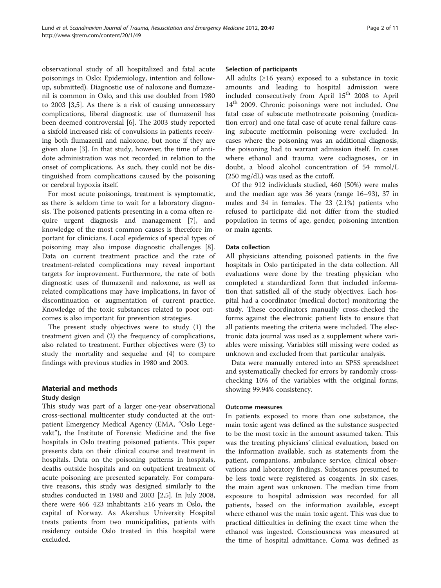observational study of all hospitalized and fatal acute poisonings in Oslo: Epidemiology, intention and followup, submitted). Diagnostic use of naloxone and flumazenil is common in Oslo, and this use doubled from 1980 to 2003 [[3,](#page-9-0)[5\]](#page-10-0). As there is a risk of causing unnecessary complications, liberal diagnostic use of flumazenil has been deemed controversial [\[6\]](#page-10-0). The 2003 study reported a sixfold increased risk of convulsions in patients receiving both flumazenil and naloxone, but none if they are given alone [\[3](#page-9-0)]. In that study, however, the time of antidote administration was not recorded in relation to the onset of complications. As such, they could not be distinguished from complications caused by the poisoning or cerebral hypoxia itself.

For most acute poisonings, treatment is symptomatic, as there is seldom time to wait for a laboratory diagnosis. The poisoned patients presenting in a coma often require urgent diagnosis and management [[7](#page-10-0)], and knowledge of the most common causes is therefore important for clinicians. Local epidemics of special types of poisoning may also impose diagnostic challenges [\[8](#page-10-0)]. Data on current treatment practice and the rate of treatment-related complications may reveal important targets for improvement. Furthermore, the rate of both diagnostic uses of flumazenil and naloxone, as well as related complications may have implications, in favor of discontinuation or augmentation of current practice. Knowledge of the toxic substances related to poor outcomes is also important for prevention strategies.

The present study objectives were to study (1) the treatment given and (2) the frequency of complications, also related to treatment. Further objectives were (3) to study the mortality and sequelae and (4) to compare findings with previous studies in 1980 and 2003.

# Material and methods Study design

This study was part of a larger one-year observational cross-sectional multicenter study conducted at the outpatient Emergency Medical Agency (EMA, "Oslo Legevakt"), the Institute of Forensic Medicine and the five hospitals in Oslo treating poisoned patients. This paper presents data on their clinical course and treatment in hospitals. Data on the poisoning patterns in hospitals, deaths outside hospitals and on outpatient treatment of acute poisoning are presented separately. For comparative reasons, this study was designed similarly to the studies conducted in 1980 and 2003 [[2,](#page-9-0)[5\]](#page-10-0). In July 2008, there were 466 423 inhabitants ≥16 years in Oslo, the capital of Norway. As Akershus University Hospital treats patients from two municipalities, patients with residency outside Oslo treated in this hospital were excluded.

#### Selection of participants

All adults (≥16 years) exposed to a substance in toxic amounts and leading to hospital admission were included consecutively from April 15th 2008 to April 14<sup>th</sup> 2009. Chronic poisonings were not included. One fatal case of subacute methotrexate poisoning (medication error) and one fatal case of acute renal failure causing subacute metformin poisoning were excluded. In cases where the poisoning was an additional diagnosis, the poisoning had to warrant admission itself. In cases where ethanol and trauma were codiagnoses, or in doubt, a blood alcohol concentration of 54 mmol/L (250 mg/dL) was used as the cutoff.

Of the 912 individuals studied, 460 (50%) were males and the median age was 36 years (range 16–93), 37 in males and 34 in females. The 23 (2.1%) patients who refused to participate did not differ from the studied population in terms of age, gender, poisoning intention or main agents.

# Data collection

All physicians attending poisoned patients in the five hospitals in Oslo participated in the data collection. All evaluations were done by the treating physician who completed a standardized form that included information that satisfied all of the study objectives. Each hospital had a coordinator (medical doctor) monitoring the study. These coordinators manually cross-checked the forms against the electronic patient lists to ensure that all patients meeting the criteria were included. The electronic data journal was used as a supplement where variables were missing. Variables still missing were coded as unknown and excluded from that particular analysis.

Data were manually entered into an SPSS spreadsheet and systematically checked for errors by randomly crosschecking 10% of the variables with the original forms, showing 99.94% consistency.

# Outcome measures

In patients exposed to more than one substance, the main toxic agent was defined as the substance suspected to be the most toxic in the amount assumed taken. This was the treating physicians' clinical evaluation, based on the information available, such as statements from the patient, companions, ambulance service, clinical observations and laboratory findings. Substances presumed to be less toxic were registered as coagents. In six cases, the main agent was unknown. The median time from exposure to hospital admission was recorded for all patients, based on the information available, except where ethanol was the main toxic agent. This was due to practical difficulties in defining the exact time when the ethanol was ingested. Consciousness was measured at the time of hospital admittance. Coma was defined as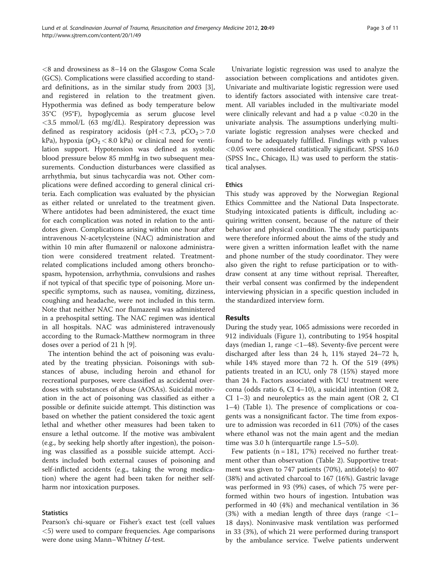<8 and drowsiness as 8–14 on the Glasgow Coma Scale (GCS). Complications were classified according to standard definitions, as in the similar study from 2003 [\[3](#page-9-0)], and registered in relation to the treatment given. Hypothermia was defined as body temperature below 35°C (95°F), hypoglycemia as serum glucose level  $\langle$ 3.5 mmol/L (63 mg/dL). Respiratory depression was defined as respiratory acidosis (pH < 7.3, pCO<sub>2</sub> > 7.0 kPa), hypoxia ( $pO<sub>2</sub> < 8.0$  kPa) or clinical need for ventilation support. Hypotension was defined as systolic blood pressure below 85 mmHg in two subsequent measurements. Conduction disturbances were classified as arrhythmia, but sinus tachycardia was not. Other complications were defined according to general clinical criteria. Each complication was evaluated by the physician as either related or unrelated to the treatment given. Where antidotes had been administered, the exact time for each complication was noted in relation to the antidotes given. Complications arising within one hour after intravenous N-acetylcysteine (NAC) administration and within 10 min after flumazenil or naloxone administration were considered treatment related. Treatmentrelated complications included among others bronchospasm, hypotension, arrhythmia, convulsions and rashes if not typical of that specific type of poisoning. More unspecific symptoms, such as nausea, vomiting, dizziness, coughing and headache, were not included in this term. Note that neither NAC nor flumazenil was administered in a prehospital setting. The NAC regimen was identical in all hospitals. NAC was administered intravenously according to the Rumack-Matthew normogram in three doses over a period of 21 h [\[9](#page-10-0)].

The intention behind the act of poisoning was evaluated by the treating physician. Poisonings with substances of abuse, including heroin and ethanol for recreational purposes, were classified as accidental overdoses with substances of abuse (AOSAs). Suicidal motivation in the act of poisoning was classified as either a possible or definite suicide attempt. This distinction was based on whether the patient considered the toxic agent lethal and whether other measures had been taken to ensure a lethal outcome. If the motive was ambivalent (e.g., by seeking help shortly after ingestion), the poisoning was classified as a possible suicide attempt. Accidents included both external causes of poisoning and self-inflicted accidents (e.g., taking the wrong medication) where the agent had been taken for neither selfharm nor intoxication purposes.

#### **Statistics**

Pearson's chi-square or Fisher's exact test (cell values <5) were used to compare frequencies. Age comparisons were done using Mann–Whitney U-test.

Univariate logistic regression was used to analyze the association between complications and antidotes given. Univariate and multivariate logistic regression were used to identify factors associated with intensive care treatment. All variables included in the multivariate model were clinically relevant and had a p value  $\langle 0.20 \rangle$  in the univariate analysis. The assumptions underlying multivariate logistic regression analyses were checked and found to be adequately fulfilled. Findings with p values <0.05 were considered statistically significant. SPSS 16.0 (SPSS Inc., Chicago, IL) was used to perform the statistical analyses.

#### **Ethics**

This study was approved by the Norwegian Regional Ethics Committee and the National Data Inspectorate. Studying intoxicated patients is difficult, including acquiring written consent, because of the nature of their behavior and physical condition. The study participants were therefore informed about the aims of the study and were given a written information leaflet with the name and phone number of the study coordinator. They were also given the right to refuse participation or to withdraw consent at any time without reprisal. Thereafter, their verbal consent was confirmed by the independent interviewing physician in a specific question included in the standardized interview form.

#### Results

During the study year, 1065 admissions were recorded in 912 individuals (Figure [1](#page-3-0)), contributing to 1954 hospital days (median 1, range  $<$  1–48). Seventy-five percent were discharged after less than 24 h, 11% stayed 24–72 h, while 14% stayed more than 72 h. Of the 519 (49%) patients treated in an ICU, only 78 (15%) stayed more than 24 h. Factors associated with ICU treatment were coma (odds ratio 6, CI 4–10), a suicidal intention (OR 2, CI 1–3) and neuroleptics as the main agent (OR 2, CI 1–4) (Table [1\)](#page-3-0). The presence of complications or coagents was a nonsignificant factor. The time from exposure to admission was recorded in 611 (70%) of the cases where ethanol was not the main agent and the median time was 3.0 h (interquartile range 1.5–5.0).

Few patients  $(n = 181, 17%)$  received no further treatment other than observation (Table [2](#page-4-0)). Supportive treatment was given to 747 patients (70%), antidote(s) to 407 (38%) and activated charcoal to 167 (16%). Gastric lavage was performed in 93 (9%) cases, of which 75 were performed within two hours of ingestion. Intubation was performed in 40 (4%) and mechanical ventilation in 36 (3%) with a median length of three days (range  $<1-$ 18 days). Noninvasive mask ventilation was performed in 33 (3%), of which 21 were performed during transport by the ambulance service. Twelve patients underwent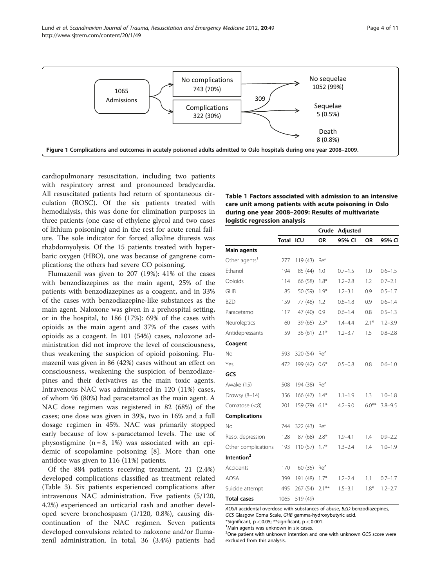<span id="page-3-0"></span>

cardiopulmonary resuscitation, including two patients with respiratory arrest and pronounced bradycardia. All resuscitated patients had return of spontaneous circulation (ROSC). Of the six patients treated with hemodialysis, this was done for elimination purposes in three patients (one case of ethylene glycol and two cases of lithium poisoning) and in the rest for acute renal failure. The sole indicator for forced alkaline diuresis was rhabdomyolysis. Of the 15 patients treated with hyperbaric oxygen (HBO), one was because of gangrene complications; the others had severe CO poisoning.

Flumazenil was given to 207 (19%): 41% of the cases with benzodiazepines as the main agent, 25% of the patients with benzodiazepines as a coagent, and in 33% of the cases with benzodiazepine-like substances as the main agent. Naloxone was given in a prehospital setting, or in the hospital, to 186 (17%): 69% of the cases with opioids as the main agent and 37% of the cases with opioids as a coagent. In 101 (54%) cases, naloxone administration did not improve the level of consciousness, thus weakening the suspicion of opioid poisoning. Flumazenil was given in 86 (42%) cases without an effect on consciousness, weakening the suspicion of benzodiazepines and their derivatives as the main toxic agents. Intravenous NAC was administered in 120 (11%) cases, of whom 96 (80%) had paracetamol as the main agent. A NAC dose regimen was registered in 82 (68%) of the cases; one dose was given in 39%, two in 16% and a full dosage regimen in 45%. NAC was primarily stopped early because of low s-paracetamol levels. The use of physostigmine  $(n = 8, 1\%)$  was associated with an epidemic of scopolamine poisoning [\[8](#page-10-0)]. More than one antidote was given to 116 (11%) patients.

Of the 884 patients receiving treatment, 21 (2.4%) developed complications classified as treatment related (Table [3\)](#page-5-0). Six patients experienced complications after intravenous NAC administration. Five patients (5/120, 4.2%) experienced an urticarial rash and another developed severe bronchospasm (1/120, 0.8%), causing discontinuation of the NAC regimen. Seven patients developed convulsions related to naloxone and/or flumazenil administration. In total, 36 (3.4%) patients had

| Table 1 Factors associated with admission to an intensive |
|-----------------------------------------------------------|
| care unit among patients with acute poisoning in Oslo     |
| during one year 2008–2009: Results of multivariate        |
| logistic regression analysis                              |
|                                                           |

|                           |              |          | Crude    | Adjusted    |           |             |
|---------------------------|--------------|----------|----------|-------------|-----------|-------------|
|                           | <b>Total</b> | ICU      | OR       | 95% CI      | <b>OR</b> | 95% CI      |
| Main agents               |              |          |          |             |           |             |
| Other agents <sup>1</sup> | 277          | 119 (43) | Ref      |             |           |             |
| Ethanol                   | 194          | 85 (44)  | 1.0      | $0.7 - 1.5$ | 1.0       | $0.6 - 1.5$ |
| Opioids                   | 114          | 66 (58)  | $1.8*$   | $1.2 - 2.8$ | 1.2       | $0.7 - 2.1$ |
| GHB                       | 85           | 50 (59)  | $1.9*$   | $1.2 - 3.1$ | 0.9       | $0.5 - 1.7$ |
| <b>BZD</b>                | 159          | 77 (48)  | 1.2      | $0.8 - 1.8$ | 0.9       | $0.6 - 1.4$ |
| Paracetamol               | 117          | 47 (40)  | 0.9      | $0.6 - 1.4$ | 0.8       | $0.5 - 1.3$ |
| Neuroleptics              | 60           | 39 (65)  | $2.5*$   | $1.4 - 4.4$ | $2.1*$    | $1.2 - 3.9$ |
| Antidepressants           | 59           | 36(61)   | $2.1*$   | $1.2 - 3.7$ | 1.5       | $0.8 - 2.8$ |
| Coagent                   |              |          |          |             |           |             |
| No                        | 593          | 320 (54) | Ref      |             |           |             |
| Yes                       | 472          | 199 (42) | $0.6*$   | $0.5 - 0.8$ | 0.8       | $0.6 - 1.0$ |
| GCS                       |              |          |          |             |           |             |
| Awake (15)                | 508          | 194 (38) | Ref      |             |           |             |
| Drowsy (8-14)             | 356          | 166 (47) | $1.4*$   | $1.1 - 1.9$ | 1.3       | $1.0 - 1.8$ |
| Comatose (<8)             | 201          | 159 (79) | $6.1*$   | $4.2 - 9.0$ | $6.0***$  | $3.8 - 9.5$ |
| <b>Complications</b>      |              |          |          |             |           |             |
| No                        | 744          | 322(43)  | Ref      |             |           |             |
| Resp. depression          | 128          | 87 (68)  | $2.8*$   | $1.9 - 4.1$ | 1.4       | $0.9 - 2.2$ |
| Other complications       | 193          | 110(57)  | $1.7*$   | $1.3 - 2.4$ | 1.4       | $1.0 - 1.9$ |
| Intention <sup>2</sup>    |              |          |          |             |           |             |
| Accidents                 | 170          | 60(35)   | Ref      |             |           |             |
| <b>AOSA</b>               | 399          | 191 (48) | $1.7*$   | $1.2 - 2.4$ | 1.1       | $0.7 - 1.7$ |
| Suicide attempt           | 495          | 267 (54) | $2.1***$ | $1.5 - 3.1$ | $1.8*$    | $1.2 - 2.7$ |
| <b>Total cases</b>        | 1065         | 519 (49) |          |             |           |             |

AOSA accidental overdose with substances of abuse, BZD benzodiazepines, GCS Glasgow Coma Scale, GHB gamma-hydroxybutyric acid.  $*$ Significant,  $p < 0.05$ ;  $**$ significant,  $p < 0.001$ .

<sup>1</sup> Main agents was unknown in six cases.

<sup>2</sup>One patient with unknown intention and one with unknown GCS score were excluded from this analysis.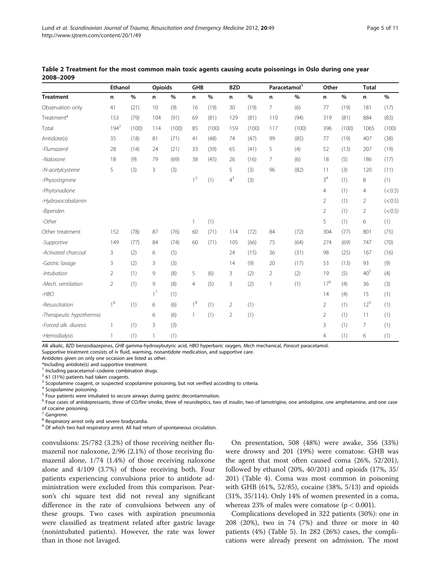|                          | Ethanol        |       | Opioids |       | GHB            |       | <b>BZD</b>     |       | Paracetamol <sup>1</sup> |       | Other          |       | <b>Total</b>   |         |
|--------------------------|----------------|-------|---------|-------|----------------|-------|----------------|-------|--------------------------|-------|----------------|-------|----------------|---------|
| <b>Treatment</b>         | n              | $\%$  | n       | $\%$  | n              | $\%$  | n              | %     | n                        | $\%$  | n              | %     | n              | %       |
| Observation only         | 41             | (21)  | 10      | (9)   | 16             | (19)  | 30             | (19)  | 7                        | (6)   | 77             | (19)  | 181            | (17)    |
| Treatment*               | 153            | (79)  | 104     | (91)  | 69             | (81)  | 129            | (81)  | 110                      | (94)  | 319            | (81)  | 884            | (83)    |
| Total                    | $194^2$        | (100) | 114     | (100) | 85             | (100) | 159            | (100) | 117                      | (100) | 396            | (100) | 1065           | (100)   |
| Antidote(s)              | 35             | (18)  | 81      | (71)  | 41             | (48)  | 74             | (47)  | 99                       | (85)  | 77             | (19)  | 407            | (38)    |
| -Flumazenil              | 28             | (14)  | 24      | (21)  | 33             | (39)  | 65             | (41)  | 5                        | (4)   | 52             | (13)  | 207            | (19)    |
| -Naloxone                | 18             | (9)   | 79      | (69)  | 38             | (45)  | 26             | (16)  | 7                        | (6)   | 18             | (5)   | 186            | (17)    |
| -N-acetylcysteine        | 5              | (3)   | 3       | (3)   |                |       | 5              | (3)   | 96                       | (82)  | 11             | (3)   | 120            | (11)    |
| -Physostigmine           |                |       |         |       | $1^3$          | (1)   | $4^3$          | (3)   |                          |       | 3 <sup>4</sup> | (1)   | 8              | (1)     |
| -Phytonadione            |                |       |         |       |                |       |                |       |                          |       | 4              | (1)   | 4              | (< 0.5) |
| -Hydroxocobalamin        |                |       |         |       |                |       |                |       |                          |       | $\overline{2}$ | (1)   | $\overline{2}$ | (< 0.5) |
| -Biperiden               |                |       |         |       |                |       |                |       |                          |       | $\overline{2}$ | (1)   | $\overline{2}$ | (< 0.5) |
| -Other                   |                |       |         |       | $\mathbf{1}$   | (1)   |                |       |                          |       | 5              | (1)   | 6              | (1)     |
| Other treatment          | 152            | (78)  | 87      | (76)  | 60             | (71)  | 114            | (72)  | 84                       | (72)  | 304            | (77)  | 801            | (75)    |
| -Supportive              | 149            | (77)  | 84      | (74)  | 60             | (71)  | 105            | (66)  | 75                       | (64)  | 274            | (69)  | 747            | (70)    |
| -Activated charcoal      | 3              | (2)   | 6       | (5)   |                |       | 24             | (15)  | 36                       | (31)  | 98             | (25)  | 167            | (16)    |
| -Gastric lavage          | 3              | (2)   | 3       | (3)   |                |       | 14             | (9)   | 20                       | (17)  | 53             | (13)  | 93             | (9)     |
| -Intubation              | 2              | (1)   | 9       | (8)   | 5              | (6)   | 3              | (2)   | $\overline{2}$           | (2)   | 19             | (5)   | $40^{5}$       | (4)     |
| -Mech. ventilation       | $\overline{2}$ | (1)   | 9       | (8)   | $\overline{4}$ | (5)   | 3              | (2)   | 1                        | (1)   | $17^{6}$       | (4)   | 36             | (3)     |
| $-HBO$                   |                |       | $1^7$   | (1)   |                |       |                |       |                          |       | 14             | (4)   | 15             | (1)     |
| -Resuscitation           | $1^8$          | (1)   | 6       | (6)   | $1^8$          | (1)   | $\overline{2}$ | (1)   |                          |       | $\overline{2}$ | (1)   | $12^9$         | (1)     |
| -Therapeutic hypothermia |                |       | 6       | (6)   | $\mathbf{1}$   | (1)   | $\overline{2}$ | (1)   |                          |       | 2              | (1)   | 11             | (1)     |
| -Forced alk. diuresis    | $\mathbf{1}$   | (1)   | 3       | (3)   |                |       |                |       |                          |       | 3              | (1)   | 7              | (1)     |
| -Hemodialysis            | 1              | (1)   | 1       | (1)   |                |       |                |       |                          |       | $\overline{4}$ | (1)   | 6              | (1)     |

<span id="page-4-0"></span>Table 2 Treatment for the most common main toxic agents causing acute poisonings in Oslo during one year 2008–2009

Alk alkalic, BZD benzodiazepines, GHB gamma-hydroxybutyric acid, HBO hyperbaric oxygen, Mech mechanical, Paracet paracetamol.

Supportive treatment consists of iv fluid, warming, nonantidote medication, and supportive care.

Antidotes given on only one occasion are listed as other.

\*Including antidote(s) and supportive treatment.

<sup>1</sup> Including paracetamol–codeine combination drugs.<br> $2\,61\,(31\%)$  patients had taken coagents.

<sup>3</sup> Scopolamine coagent, or suspected scopolamine poisoning, but not verified according to criteria.

<sup>4</sup> Scopolamine poisoning.

<sup>5</sup> Four patients were intubated to secure airways during gastric decontamination.

<sup>6</sup> Four cases of antidepressants, three of CO/fire smoke, three of neuroleptics, two of insulin, two of lamotrigine, one amlodipine, one amphetamine, and one case of cocaine poisoning.

<sup>7</sup> Gangrene.

<sup>8</sup> Respiratory arrest only and severe bradycardia.

 $9$  Of which two had respiratory arrest. All had return of spontaneous circulation.

convulsions: 25/782 (3.2%) of those receiving neither flumazenil nor naloxone, 2/96 (2.1%) of those receiving flumazenil alone, 1/74 (1.4%) of those receiving naloxone alone and 4/109 (3.7%) of those receiving both. Four patients experiencing convulsions prior to antidote administration were excluded from this comparison. Pearson's chi square test did not reveal any significant difference in the rate of convulsions between any of these groups. Two cases with aspiration pneumonia were classified as treatment related after gastric lavage (nonintubated patients). However, the rate was lower than in those not lavaged.

On presentation, 508 (48%) were awake, 356 (33%) were drowsy and 201 (19%) were comatose. GHB was the agent that most often caused coma (26%, 52/201), followed by ethanol (20%, 40/201) and opioids (17%, 35/ 201) (Table [4\)](#page-5-0). Coma was most common in poisoning with GHB (61%, 52/85), cocaine (38%, 5/13) and opioids (31%, 35/114). Only 14% of women presented in a coma, whereas 23% of males were comatose ( $p < 0.001$ ).

Complications developed in 322 patients (30%): one in 208 (20%), two in 74 (7%) and three or more in 40 patients (4%) (Table [5\)](#page-6-0). In 282 (26%) cases, the complications were already present on admission. The most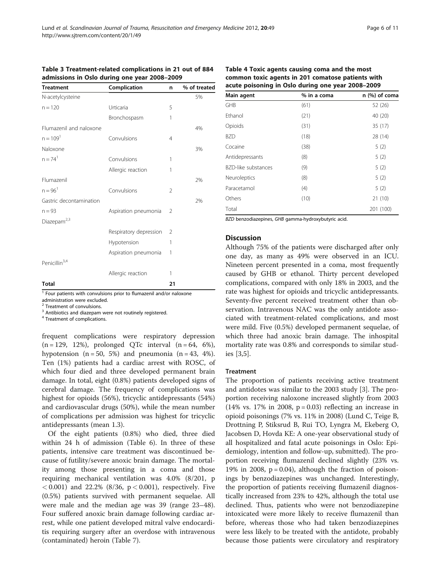#### <span id="page-5-0"></span>Table 3 Treatment-related complications in 21 out of 884 admissions in Oslo during one year 2008–2009

| <b>Treatment</b>          | Complication           | n              | % of treated |  |  |
|---------------------------|------------------------|----------------|--------------|--|--|
| N-acetylcysteine          |                        |                | 5%           |  |  |
| $n = 120$                 | Urticaria              | 5              |              |  |  |
|                           | Bronchospasm           | 1              |              |  |  |
| Flumazenil and naloxone   |                        |                | 4%           |  |  |
| $n = 1091$                | Convulsions            | 4              |              |  |  |
| Naloxone                  |                        |                | 3%           |  |  |
| $n = 741$                 | Convulsions            | 1              |              |  |  |
|                           | Allergic reaction      | 1              |              |  |  |
| Flumazenil                |                        |                | 2%           |  |  |
| $n = 961$                 | Convulsions            | 2              |              |  |  |
| Gastric decontamination   |                        |                | 2%           |  |  |
| $n = 93$                  | Aspiration pneumonia   | $\mathfrak{D}$ |              |  |  |
| Diazepam <sup>2,3</sup>   |                        |                |              |  |  |
|                           | Respiratory depression | 2              |              |  |  |
|                           | Hypotension            | 1              |              |  |  |
|                           | Aspiration pneumonia   | 1              |              |  |  |
| Penicillin <sup>3,4</sup> |                        |                |              |  |  |
|                           | Allergic reaction      | 1              |              |  |  |
| <b>Total</b>              |                        | 21             |              |  |  |

 $1$  Four patients with convulsions prior to flumazenil and/or naloxone administration were excluded.

 $2$  Treatment of convulsions.

<sup>3</sup> Antibiotics and diazepam were not routinely registered.

<sup>4</sup> Treatment of complications.

frequent complications were respiratory depression  $(n = 129, 12\%)$ , prolonged QTc interval  $(n = 64, 6\%)$ , hypotension  $(n = 50, 5\%)$  and pneumonia  $(n = 43, 4\%)$ . Ten (1%) patients had a cardiac arrest with ROSC, of which four died and three developed permanent brain damage. In total, eight (0.8%) patients developed signs of cerebral damage. The frequency of complications was highest for opioids (56%), tricyclic antidepressants (54%) and cardiovascular drugs (50%), while the mean number of complications per admission was highest for tricyclic antidepressants (mean 1.3).

Of the eight patients (0.8%) who died, three died within 24 h of admission (Table [6\)](#page-7-0). In three of these patients, intensive care treatment was discontinued because of futility/severe anoxic brain damage. The mortality among those presenting in a coma and those requiring mechanical ventilation was 4.0% (8/201, p  $(0.001)$  and 22.2% (8/36, p $(0.001)$ , respectively. Five (0.5%) patients survived with permanent sequelae. All were male and the median age was 39 (range 23–48). Four suffered anoxic brain damage following cardiac arrest, while one patient developed mitral valve endocarditis requiring surgery after an overdose with intravenous (contaminated) heroin (Table [7](#page-7-0)).

| common toxic agents in 201 comatose patients with<br>acute poisoning in Oslo during one year 2008-2009 |             |               |  |  |  |  |  |  |
|--------------------------------------------------------------------------------------------------------|-------------|---------------|--|--|--|--|--|--|
| Main agent                                                                                             | % in a coma | n (%) of coma |  |  |  |  |  |  |
| <b>GHB</b>                                                                                             | (61)        | 52 (26)       |  |  |  |  |  |  |
| Fthanol                                                                                                | (21)        | 40 (20)       |  |  |  |  |  |  |

Table 4 Toxic agents causing coma and the most

| Ethanol             | (21) | 40 (20)   |
|---------------------|------|-----------|
| Opioids             | (31) | 35 (17)   |
| <b>BZD</b>          | (18) | 28 (14)   |
| Cocaine             | (38) | 5(2)      |
| Antidepressants     | (8)  | 5(2)      |
| BZD-like substances | (9)  | 5(2)      |
| Neuroleptics        | (8)  | 5(2)      |
| Paracetamol         | (4)  | 5(2)      |
| Others              | (10) | 21(10)    |
| Total               |      | 201 (100) |

BZD benzodiazepines, GHB gamma-hydroxybutyric acid.

# Discussion

Although 75% of the patients were discharged after only one day, as many as 49% were observed in an ICU. Nineteen percent presented in a coma, most frequently caused by GHB or ethanol. Thirty percent developed complications, compared with only 18% in 2003, and the rate was highest for opioids and tricyclic antidepressants. Seventy-five percent received treatment other than observation. Intravenous NAC was the only antidote associated with treatment-related complications, and most were mild. Five (0.5%) developed permanent sequelae, of which three had anoxic brain damage. The inhospital mortality rate was 0.8% and corresponds to similar studies [[3](#page-9-0),[5\]](#page-10-0).

#### **Treatment**

The proportion of patients receiving active treatment and antidotes was similar to the 2003 study [[3\]](#page-9-0). The proportion receiving naloxone increased slightly from 2003 (14% vs. 17% in 2008,  $p = 0.03$ ) reflecting an increase in opioid poisonings (7% vs. 11% in 2008) (Lund C, Teige B, Drottning P, Stiksrud B, Rui TO, Lyngra M, Ekeberg O, Jacobsen D, Hovda KE: A one-year observational study of all hospitalized and fatal acute poisonings in Oslo: Epidemiology, intention and follow-up, submitted). The proportion receiving flumazenil declined slightly (23% vs. 19% in 2008,  $p = 0.04$ ), although the fraction of poisonings by benzodiazepines was unchanged. Interestingly, the proportion of patients receiving flumazenil diagnostically increased from 23% to 42%, although the total use declined. Thus, patients who were not benzodiazepine intoxicated were more likely to receive flumazenil than before, whereas those who had taken benzodiazepines were less likely to be treated with the antidote, probably because those patients were circulatory and respiratory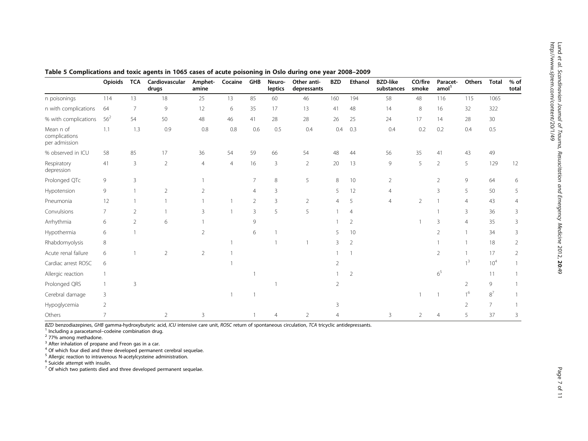|                                             | Opioids         | TCA            | Cardiovascular<br>drugs | Amphet-<br>amine         | Cocaine        | GHB            | Neuro-<br>leptics | Other anti-<br>depressants | <b>BZD</b>     | Ethanol        | <b>BZD-like</b><br>substances | CO/fire<br>smoke | Paracet-<br>amol <sup>1</sup> | Others         | <b>Total</b>    | $%$ of<br>total |
|---------------------------------------------|-----------------|----------------|-------------------------|--------------------------|----------------|----------------|-------------------|----------------------------|----------------|----------------|-------------------------------|------------------|-------------------------------|----------------|-----------------|-----------------|
| n poisonings                                | 114             | 13             | 18                      | 25                       | 13             | 85             | 60                | 46                         | 160            | 194            | 58                            | 48               | 116                           | 115            | 1065            |                 |
| n with complications                        | 64              | $\overline{7}$ | 9                       | 12                       | 6              | 35             | 17                | 13                         | 41             | 48             | 14                            | $\,8\,$          | 16                            | 32             | 322             |                 |
| % with complications                        | 56 <sup>2</sup> | 54             | 50                      | 48                       | 46             | 41             | 28                | 28                         | 26             | 25             | 24                            | 17               | 14                            | 28             | 30              |                 |
| Mean n of<br>complications<br>per admission | 1.1             | 1.3            | 0.9                     | 0.8                      | 0.8            | 0.6            | 0.5               | 0.4                        | 0.4            | 0.3            | 0.4                           | 0.2              | 0.2                           | 0.4            | 0.5             |                 |
| % observed in ICU                           | 58              | 85             | 17                      | 36                       | 54             | 59             | 66                | 54                         | 48             | 44             | 56                            | 35               | 41                            | 43             | 49              |                 |
| Respiratory<br>depression                   | 41              | 3              | $\overline{2}$          | 4                        | $\overline{4}$ | 16             | 3                 | $\overline{2}$             | 20             | 13             | 9                             | 5                | $\overline{2}$                | 5              | 129             | 12              |
| Prolonged QTc                               | 9               | 3              |                         |                          |                | $\overline{7}$ | 8                 | 5                          | 8              | 10             | $\overline{2}$                |                  | $\overline{2}$                | 9              | 64              | 6               |
| Hypotension                                 | 9               |                | $\overline{2}$          |                          |                | $\overline{4}$ | 3                 |                            | 5              | 12             |                               |                  | 3                             | 5              | 50              | 5               |
| Pneumonia                                   | 12              |                |                         |                          |                | $\overline{2}$ | 3                 | $\overline{2}$             | 4              | 5              | $\overline{4}$                | $\overline{2}$   |                               | $\overline{4}$ | 43              |                 |
| Convulsions                                 | 7               | 2              |                         | 3                        |                | $\overline{3}$ | 5                 | 5                          |                | $\overline{4}$ |                               |                  |                               | 3              | 36              | 3               |
| Arrhythmia                                  | 6               | $\mathcal{P}$  | 6                       |                          |                | 9              |                   |                            |                | $\mathcal{P}$  |                               |                  | 3                             | $\overline{4}$ | 35              | 3               |
| Hypothermia                                 | 6               |                |                         | $\overline{\phantom{a}}$ |                | 6              |                   |                            | 5              | 10             |                               |                  | $\mathcal{P}$                 |                | 34              | ζ               |
| Rhabdomyolysis                              | 8               |                |                         |                          |                |                |                   |                            | 3              | $\overline{2}$ |                               |                  |                               |                | 18              | 2               |
| Acute renal failure                         | 6               |                | $\overline{2}$          | 2                        |                |                |                   |                            |                |                |                               |                  | $\mathcal{P}$                 |                | 17              | $\overline{2}$  |
| Cardiac arrest ROSC                         | 6               |                |                         |                          |                |                |                   |                            | 2              |                |                               |                  |                               | 1 <sup>3</sup> | 10 <sup>4</sup> |                 |
| Allergic reaction                           |                 |                |                         |                          |                |                |                   |                            |                | $\overline{2}$ |                               |                  | $6^5$                         |                | 11              |                 |
| Prolonged QRS                               |                 | 3              |                         |                          |                |                |                   |                            | $\overline{2}$ |                |                               |                  |                               | $\overline{2}$ | 9               |                 |
| Cerebral damage                             | 3               |                |                         |                          |                |                |                   |                            |                |                |                               |                  |                               | $1^6$          | $8^7$           |                 |
| Hypoglycemia                                | $\overline{2}$  |                |                         |                          |                |                |                   |                            | 3              |                |                               |                  |                               | 2              | 7               |                 |
| Others                                      | 7               |                | $\overline{2}$          | 3                        |                |                | 4                 | $\overline{2}$             | 4              |                | 3                             | $\overline{2}$   | $\overline{4}$                | 5              | 37              | 3               |

<span id="page-6-0"></span>Table 5 Complications and toxic agents in 1065 cases of acute poisoning in Oslo during one year 2008–2009

BZD benzodiazepines, GHB gamma-hydroxybutyric acid, ICU intensive care unit, ROSC return of spontaneous circulation, TCA tricyclic antidepressants.<br><sup>1</sup> Including a paracetamol–codeine combination drug.<br><sup>2</sup> 77% among metha

 $3<sup>3</sup>$  After inhalation of propane and Freon gas in a car.

4 Of which four died and three developed permanent cerebral sequelae.

<sup>5</sup> Allergic reaction to intravenous N-acetylcysteine administration.

<sup>6</sup> Suicide attempt with insulin.

 $<sup>7</sup>$  Of which two patients died and three developed permanent sequelae.</sup>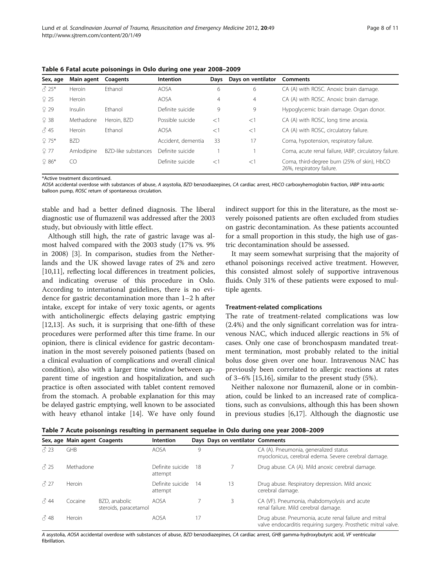<span id="page-7-0"></span>Table 6 Fatal acute poisonings in Oslo during one year 2008–2009

| Sex, age      | Main agent | Coagents            | <b>Intention</b>   | Days  | Days on ventilator | <b>Comments</b>                                                          |
|---------------|------------|---------------------|--------------------|-------|--------------------|--------------------------------------------------------------------------|
| $\Lambda$ 25* | Heroin     | Ethanol             | <b>AOSA</b>        | 6     | 6                  | CA (A) with ROSC. Anoxic brain damage.                                   |
| 925           | Heroin     |                     | <b>AOSA</b>        | 4     | $\overline{4}$     | CA (A) with ROSC. Anoxic brain damage.                                   |
| 929           | Insulin    | Fthanol             | Definite suicide   | 9     | 9                  | Hypoglycemic brain damage. Organ donor.                                  |
| 938           | Methadone  | Heroin, BZD         | Possible suicide   | $\lt$ | <1                 | CA (A) with ROSC, long time anoxia.                                      |
| $\beta$ 45    | Heroin     | Fthanol             | <b>AOSA</b>        | $<$ 1 | $\leq$ 1           | CA (A) with ROSC, circulatory failure.                                   |
| $975*$        | <b>BZD</b> |                     | Accident, dementia | 33    | 17                 | Coma, hypotension, respiratory failure.                                  |
| 977           | Amlodipine | BZD-like substances | Definite suicide   |       |                    | Coma, acute renal failure, IABP, circulatory failure.                    |
| $986*$        | CO         |                     | Definite suicide   | $<$ 1 | <1                 | Coma, third-degree burn (25% of skin), HbCO<br>26%, respiratory failure. |

\*Active treatment discontinued.

AOSA accidental overdose with substances of abuse, A asystolia, BZD benzodiazepines, CA cardiac arrest, HbCO carboxyhemoglobin fraction, IABP intra-aortic balloon pump, ROSC return of spontaneous circulation.

stable and had a better defined diagnosis. The liberal diagnostic use of flumazenil was addressed after the 2003 study, but obviously with little effect.

Although still high, the rate of gastric lavage was almost halved compared with the 2003 study (17% vs. 9% in 2008) [\[3](#page-9-0)]. In comparison, studies from the Netherlands and the UK showed lavage rates of 2% and zero [[10,11\]](#page-10-0), reflecting local differences in treatment policies, and indicating overuse of this procedure in Oslo. According to international guidelines, there is no evidence for gastric decontamination more than 1–2 h after intake, except for intake of very toxic agents, or agents with anticholinergic effects delaying gastric emptying [[12,13\]](#page-10-0). As such, it is surprising that one-fifth of these procedures were performed after this time frame. In our opinion, there is clinical evidence for gastric decontamination in the most severely poisoned patients (based on a clinical evaluation of complications and overall clinical condition), also with a larger time window between apparent time of ingestion and hospitalization, and such practice is often associated with tablet content removed from the stomach. A probable explanation for this may be delayed gastric emptying, well known to be associated with heavy ethanol intake [[14](#page-10-0)]. We have only found

indirect support for this in the literature, as the most severely poisoned patients are often excluded from studies on gastric decontamination. As these patients accounted for a small proportion in this study, the high use of gastric decontamination should be assessed.

It may seem somewhat surprising that the majority of ethanol poisonings received active treatment. However, this consisted almost solely of supportive intravenous fluids. Only 31% of these patients were exposed to multiple agents.

#### Treatment-related complications

The rate of treatment-related complications was low (2.4%) and the only significant correlation was for intravenous NAC, which induced allergic reactions in 5% of cases. Only one case of bronchospasm mandated treatment termination, most probably related to the initial bolus dose given over one hour. Intravenous NAC has previously been correlated to allergic reactions at rates of 3–6% [\[15,16](#page-10-0)], similar to the present study (5%).

Neither naloxone nor flumazenil, alone or in combination, could be linked to an increased rate of complications, such as convulsions, although this has been shown in previous studies [\[6,17](#page-10-0)]. Although the diagnostic use

Table 7 Acute poisonings resulting in permanent sequelae in Oslo during one year 2008–2009

|               | Sex, age Main agent Coagents |                                        | Intention                   |     | Days Days on ventilator Comments |                                                                                                                         |
|---------------|------------------------------|----------------------------------------|-----------------------------|-----|----------------------------------|-------------------------------------------------------------------------------------------------------------------------|
| $\Lambda$ 23  | <b>GHB</b>                   |                                        | <b>AOSA</b>                 | 9   |                                  | CA (A). Pneumonia, generalized status<br>myoclonicus, cerebral edema. Severe cerebral damage.                           |
| $\uparrow$ 25 | Methadone                    |                                        | Definite suicide<br>attempt | -18 |                                  | Drug abuse. CA (A). Mild anoxic cerebral damage.                                                                        |
| $\Lambda$ 27  | Heroin                       |                                        | Definite suicide<br>attempt | 14  | 13                               | Drug abuse. Respiratory depression. Mild anoxic<br>cerebral damage.                                                     |
| $\Lambda$ 44  | Cocaine                      | BZD, anabolic<br>steroids, paracetamol | AOSA                        |     | 3                                | CA (VF). Pneumonia, rhabdomyolysis and acute<br>renal failure. Mild cerebral damage.                                    |
| $\beta$ 48    | Heroin                       |                                        | <b>AOSA</b>                 | 17  |                                  | Drug abuse. Pneumonia, acute renal failure and mitral<br>valve endocarditis requiring surgery. Prosthetic mitral valve. |

A asystolia, AOSA accidental overdose with substances of abuse, BZD benzodiazepines, CA cardiac arrest, GHB gamma-hydroxybutyric acid, VF ventricular fibrillation.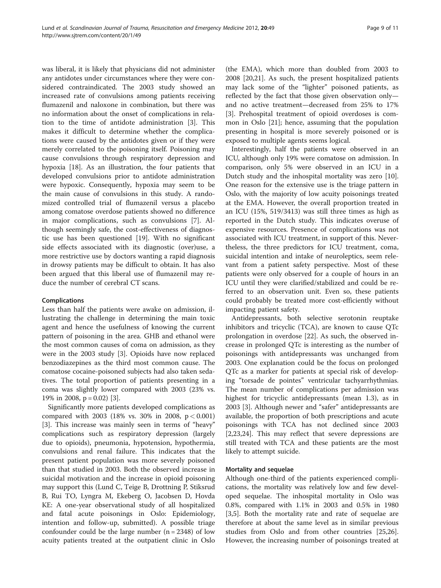was liberal, it is likely that physicians did not administer any antidotes under circumstances where they were considered contraindicated. The 2003 study showed an increased rate of convulsions among patients receiving flumazenil and naloxone in combination, but there was no information about the onset of complications in relation to the time of antidote administration [[3](#page-9-0)]. This makes it difficult to determine whether the complications were caused by the antidotes given or if they were merely correlated to the poisoning itself. Poisoning may cause convulsions through respiratory depression and hypoxia [\[18](#page-10-0)]. As an illustration, the four patients that developed convulsions prior to antidote administration were hypoxic. Consequently, hypoxia may seem to be the main cause of convulsions in this study. A randomized controlled trial of flumazenil versus a placebo among comatose overdose patients showed no difference in major complications, such as convulsions [\[7](#page-10-0)]. Although seemingly safe, the cost-effectiveness of diagnostic use has been questioned [[19](#page-10-0)]. With no significant side effects associated with its diagnostic (over)use, a more restrictive use by doctors wanting a rapid diagnosis in drowsy patients may be difficult to obtain. It has also been argued that this liberal use of flumazenil may reduce the number of cerebral CT scans.

#### Complications

Less than half the patients were awake on admission, illustrating the challenge in determining the main toxic agent and hence the usefulness of knowing the current pattern of poisoning in the area. GHB and ethanol were the most common causes of coma on admission, as they were in the 2003 study [[3\]](#page-9-0). Opioids have now replaced benzodiazepines as the third most common cause. The comatose cocaine-poisoned subjects had also taken sedatives. The total proportion of patients presenting in a coma was slightly lower compared with 2003 (23% vs. 19% in 2008,  $p = 0.02$  [\[3](#page-9-0)].

Significantly more patients developed complications as compared with 2003 (18% vs. 30% in 2008,  $p < 0.001$ ) [[3\]](#page-9-0). This increase was mainly seen in terms of "heavy" complications such as respiratory depression (largely due to opioids), pneumonia, hypotension, hypothermia, convulsions and renal failure. This indicates that the present patient population was more severely poisoned than that studied in 2003. Both the observed increase in suicidal motivation and the increase in opioid poisoning may support this (Lund C, Teige B, Drottning P, Stiksrud B, Rui TO, Lyngra M, Ekeberg O, Jacobsen D, Hovda KE: A one-year observational study of all hospitalized and fatal acute poisonings in Oslo: Epidemiology, intention and follow-up, submitted). A possible triage confounder could be the large number  $(n = 2348)$  of low acuity patients treated at the outpatient clinic in Oslo (the EMA), which more than doubled from 2003 to 2008 [[20](#page-10-0),[21](#page-10-0)]. As such, the present hospitalized patients may lack some of the "lighter" poisoned patients, as reflected by the fact that those given observation only and no active treatment—decreased from 25% to 17% [[3\]](#page-9-0). Prehospital treatment of opioid overdoses is common in Oslo [[21\]](#page-10-0); hence, assuming that the population presenting in hospital is more severely poisoned or is exposed to multiple agents seems logical.

Interestingly, half the patients were observed in an ICU, although only 19% were comatose on admission. In comparison, only 5% were observed in an ICU in a Dutch study and the inhospital mortality was zero [\[10](#page-10-0)]. One reason for the extensive use is the triage pattern in Oslo, with the majority of low acuity poisonings treated at the EMA. However, the overall proportion treated in an ICU (15%, 519/3413) was still three times as high as reported in the Dutch study. This indicates overuse of expensive resources. Presence of complications was not associated with ICU treatment, in support of this. Nevertheless, the three predictors for ICU treatment, coma, suicidal intention and intake of neuroleptics, seem relevant from a patient safety perspective. Most of these patients were only observed for a couple of hours in an ICU until they were clarified/stabilized and could be referred to an observation unit. Even so, these patients could probably be treated more cost-efficiently without impacting patient safety.

Antidepressants, both selective serotonin reuptake inhibitors and tricyclic (TCA), are known to cause QTc prolongation in overdose [\[22](#page-10-0)]. As such, the observed increase in prolonged QTc is interesting as the number of poisonings with antidepressants was unchanged from 2003. One explanation could be the focus on prolonged QTc as a marker for patients at special risk of developing "torsade de pointes" ventricular tachyarrhythmias. The mean number of complications per admission was highest for tricyclic antidepressants (mean 1.3), as in 2003 [[3](#page-9-0)]. Although newer and "safer" antidepressants are available, the proportion of both prescriptions and acute poisonings with TCA has not declined since 2003 [[2,](#page-9-0)[23,24\]](#page-10-0). This may reflect that severe depressions are still treated with TCA and these patients are the most likely to attempt suicide.

#### Mortality and sequelae

Although one-third of the patients experienced complications, the mortality was relatively low and few developed sequelae. The inhospital mortality in Oslo was 0.8%, compared with 1.1% in 2003 and 0.5% in 1980 [[3,](#page-9-0)[5\]](#page-10-0). Both the mortality rate and rate of sequelae are therefore at about the same level as in similar previous studies from Oslo and from other countries [\[25,26](#page-10-0)]. However, the increasing number of poisonings treated at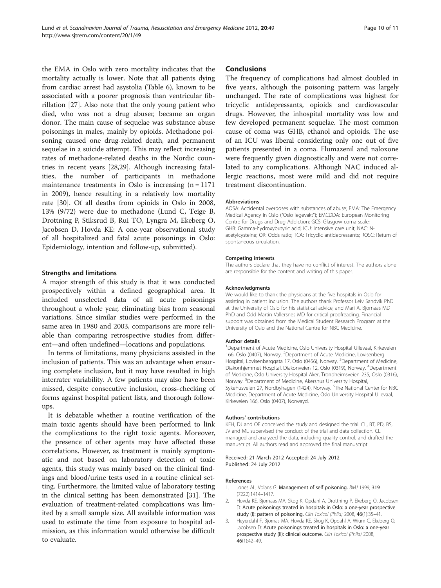<span id="page-9-0"></span>the EMA in Oslo with zero mortality indicates that the mortality actually is lower. Note that all patients dying from cardiac arrest had asystolia (Table [6](#page-7-0)), known to be associated with a poorer prognosis than ventricular fibrillation [\[27](#page-10-0)]. Also note that the only young patient who died, who was not a drug abuser, became an organ donor. The main cause of sequelae was substance abuse poisonings in males, mainly by opioids. Methadone poisoning caused one drug-related death, and permanent sequelae in a suicide attempt. This may reflect increasing rates of methadone-related deaths in the Nordic countries in recent years [\[28,29](#page-10-0)]. Although increasing fatalities, the number of participants in methadone maintenance treatments in Oslo is increasing  $(n = 1171)$ in 2009), hence resulting in a relatively low mortality rate [\[30](#page-10-0)]. Of all deaths from opioids in Oslo in 2008, 13% (9/72) were due to methadone (Lund C, Teige B, Drottning P, Stiksrud B, Rui TO, Lyngra M, Ekeberg O, Jacobsen D, Hovda KE: A one-year observational study of all hospitalized and fatal acute poisonings in Oslo: Epidemiology, intention and follow-up, submitted).

#### Strengths and limitations

A major strength of this study is that it was conducted prospectively within a defined geographical area. It included unselected data of all acute poisonings throughout a whole year, eliminating bias from seasonal variations. Since similar studies were performed in the same area in 1980 and 2003, comparisons are more reliable than comparing retrospective studies from different—and often undefined—locations and populations.

In terms of limitations, many physicians assisted in the inclusion of patients. This was an advantage when ensuring complete inclusion, but it may have resulted in high interrater variability. A few patients may also have been missed, despite consecutive inclusion, cross-checking of forms against hospital patient lists, and thorough followups.

It is debatable whether a routine verification of the main toxic agents should have been performed to link the complications to the right toxic agents. Moreover, the presence of other agents may have affected these correlations. However, as treatment is mainly symptomatic and not based on laboratory detection of toxic agents, this study was mainly based on the clinical findings and blood/urine tests used in a routine clinical setting. Furthermore, the limited value of laboratory testing in the clinical setting has been demonstrated [\[31\]](#page-10-0). The evaluation of treatment-related complications was limited by a small sample size. All available information was used to estimate the time from exposure to hospital admission, as this information would otherwise be difficult to evaluate.

#### Conclusions

The frequency of complications had almost doubled in five years, although the poisoning pattern was largely unchanged. The rate of complications was highest for tricyclic antidepressants, opioids and cardiovascular drugs. However, the inhospital mortality was low and few developed permanent sequelae. The most common cause of coma was GHB, ethanol and opioids. The use of an ICU was liberal considering only one out of five patients presented in a coma. Flumazenil and naloxone were frequently given diagnostically and were not correlated to any complications. Although NAC induced allergic reactions, most were mild and did not require treatment discontinuation.

#### Abbreviations

AOSA: Accidental overdoses with substances of abuse; EMA: The Emergency Medical Agency in Oslo ("Oslo legevakt"); EMCDDA: European Monitoring Centre for Drugs and Drug Addiction; GCS: Glasgow coma scale; GHB: Gamma-hydroxybutyric acid; ICU: Intensive care unit; NAC: Nacetylcysteine; OR: Odds ratio; TCA: Tricyclic antidepressants; ROSC: Return of spontaneous circulation.

#### Competing interests

The authors declare that they have no conflict of interest. The authors alone are responsible for the content and writing of this paper.

#### Acknowledgments

We would like to thank the physicians at the five hospitals in Oslo for assisting in patient inclusion. The authors thank Professor Leiv Sandvik PhD at the University of Oslo for his statistical advice, and Mari A. Bjornaas MD PhD and Odd Martin Vallersnes MD for critical proofreading. Financial support was obtained from the Medical Student Research Program at the University of Oslo and the National Centre for NBC Medicine.

#### Author details

<sup>1</sup>Department of Acute Medicine, Oslo University Hospital Ullevaal, Kirkeveien 166, Oslo (0407), Norway. <sup>2</sup>Department of Acute Medicine, Lovisenberg Hospital, Lovisenberggata 17, Oslo (0456), Norway. <sup>3</sup>Department of Medicine Diakonhjemmet Hospital, Diakonveien 12, Oslo (0319), Norway. <sup>4</sup>Department of Medicine, Oslo University Hospital Aker, Trondheimsveien 235, Oslo (0316), Norway. <sup>5</sup>Department of Medicine, Akershus University Hospital, Sykehusveien 27, Nordbyhagen (1424), Norway. <sup>6</sup>The National Center for NBC Medicine, Department of Acute Medicine, Oslo University Hospital Ullevaal, Kirkeveien 166, Oslo (0407), Norwayd.

#### Authors' contributions

KEH, DJ and OE conceived the study and designed the trial. CL, BT, PD, BS, JV and ML supervised the conduct of the trial and data collection. CL managed and analyzed the data, including quality control, and drafted the manuscript. All authors read and approved the final manuscript.

Received: 21 March 2012 Accepted: 24 July 2012 Published: 24 July 2012

#### References

- 1. Jones AL, Volans G: Management of self poisoning. BMJ 1999, 319 (7222):1414–1417.
- 2. Hovda KE, Bjornaas MA, Skog K, Opdahl A, Drottning P, Ekeberg O, Jacobsen D: Acute poisonings treated in hospitals in Oslo: a one-year prospective study (I): pattern of poisoning. Clin Toxicol (Phila) 2008, 46(1):35–41.
- 3. Heyerdahl F, Bjornas MA, Hovda KE, Skog K, Opdahl A, Wium C, Ekeberg O, Jacobsen D: Acute poisonings treated in hospitals in Oslo: a one-year prospective study (II): clinical outcome. Clin Toxicol (Phila) 2008, 46(1):42–49.